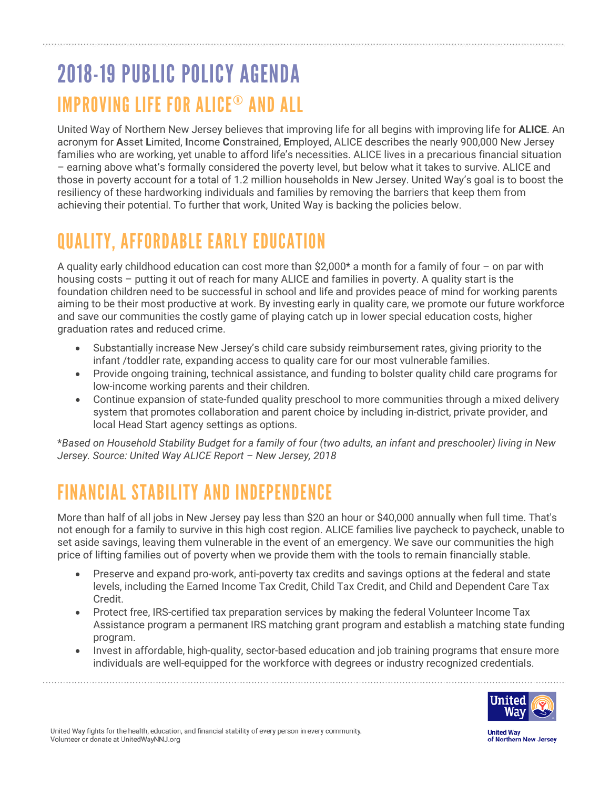## 2018-19 PUBLIC POLICY AGENDA IMPROVING LIFE FOR ALICE® AND ALL

United Way of Northern New Jersey believes that improving life for all begins with improving life for **ALICE**. An acronym for **A**sset **L**imited, **I**ncome **C**onstrained, **E**mployed, ALICE describes the nearly 900,000 New Jersey families who are working, yet unable to afford life's necessities. ALICE lives in a precarious financial situation – earning above what's formally considered the poverty level, but below what it takes to survive. ALICE and those in poverty account for a total of 1.2 million households in New Jersey. United Way's goal is to boost the resiliency of these hardworking individuals and families by removing the barriers that keep them from achieving their potential. To further that work, United Way is backing the policies below.

## QUALITY, AFFORDABLE EARLY EDUCATION

A quality early childhood education can cost more than  $$2,000*$  a month for a family of four – on par with housing costs – putting it out of reach for many ALICE and families in poverty. A quality start is the foundation children need to be successful in school and life and provides peace of mind for working parents aiming to be their most productive at work. By investing early in quality care, we promote our future workforce and save our communities the costly game of playing catch up in lower special education costs, higher graduation rates and reduced crime.

- Substantially increase New Jersey's child care subsidy reimbursement rates, giving priority to the infant /toddler rate, expanding access to quality care for our most vulnerable families.
- Provide ongoing training, technical assistance, and funding to bolster quality child care programs for low-income working parents and their children.
- Continue expansion of state-funded quality preschool to more communities through a mixed delivery system that promotes collaboration and parent choice by including in-district, private provider, and local Head Start agency settings as options.

\**Based on Household Stability Budget for a family of four (two adults, an infant and preschooler) living in New Jersey. Source: United Way ALICE Report – New Jersey, 2018*

## FINANCIAL STABILITY AND INDEPENDENCE

More than half of all jobs in New Jersey pay less than \$20 an hour or \$40,000 annually when full time. That's not enough for a family to survive in this high cost region. ALICE families live paycheck to paycheck, unable to set aside savings, leaving them vulnerable in the event of an emergency. We save our communities the high price of lifting families out of poverty when we provide them with the tools to remain financially stable.

- Preserve and expand pro-work, anti-poverty tax credits and savings options at the federal and state levels, including the Earned Income Tax Credit, Child Tax Credit, and Child and Dependent Care Tax Credit.
- Protect free, IRS-certified tax preparation services by making the federal Volunteer Income Tax Assistance program a permanent IRS matching grant program and establish a matching state funding program.
- Invest in affordable, high-quality, sector-based education and job training programs that ensure more individuals are well-equipped for the workforce with degrees or industry recognized credentials.



United Way fights for the health, education, and financial stability of every person in every community. Volunteer or donate at UnitedWayNNJ.org

**United Way** of Northern New Jersey